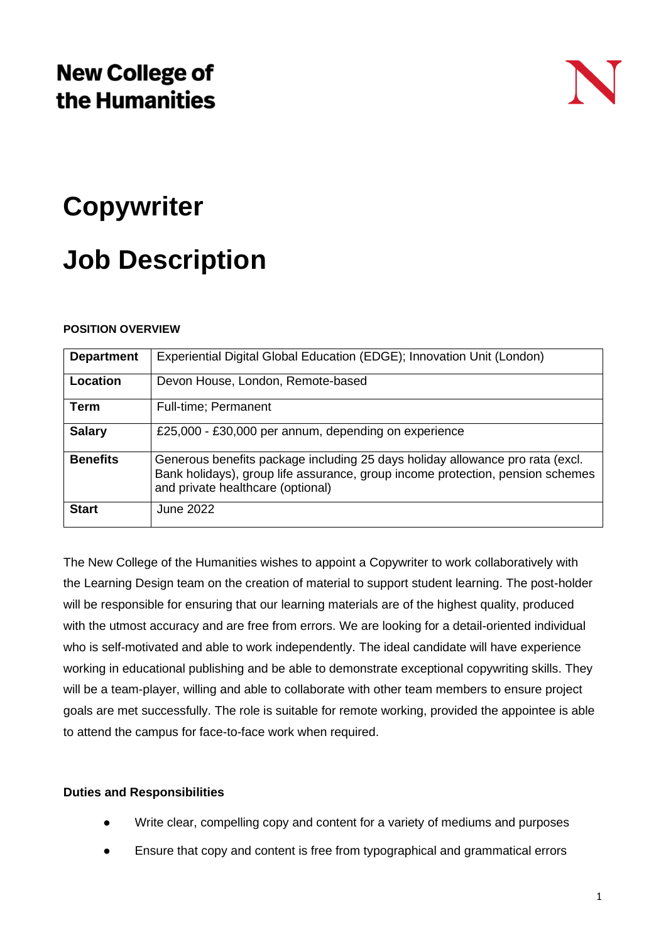### **New College of** the Humanities

## **Copywriter**

# **Job Description**

#### **POSITION OVERVIEW**

| <b>Department</b> | Experiential Digital Global Education (EDGE); Innovation Unit (London)                                                                                                                               |
|-------------------|------------------------------------------------------------------------------------------------------------------------------------------------------------------------------------------------------|
| Location          | Devon House, London, Remote-based                                                                                                                                                                    |
| Term              | Full-time; Permanent                                                                                                                                                                                 |
| <b>Salary</b>     | £25,000 - £30,000 per annum, depending on experience                                                                                                                                                 |
| <b>Benefits</b>   | Generous benefits package including 25 days holiday allowance pro rata (excl.<br>Bank holidays), group life assurance, group income protection, pension schemes<br>and private healthcare (optional) |
| <b>Start</b>      | June 2022                                                                                                                                                                                            |

The New College of the Humanities wishes to appoint a Copywriter to work collaboratively with the Learning Design team on the creation of material to support student learning. The post-holder will be responsible for ensuring that our learning materials are of the highest quality, produced with the utmost accuracy and are free from errors. We are looking for a detail-oriented individual who is self-motivated and able to work independently. The ideal candidate will have experience working in educational publishing and be able to demonstrate exceptional copywriting skills. They will be a team-player, willing and able to collaborate with other team members to ensure project goals are met successfully. The role is suitable for remote working, provided the appointee is able to attend the campus for face-to-face work when required.

### **Duties and Responsibilities**

- Write clear, compelling copy and content for a variety of mediums and purposes
- Ensure that copy and content is free from typographical and grammatical errors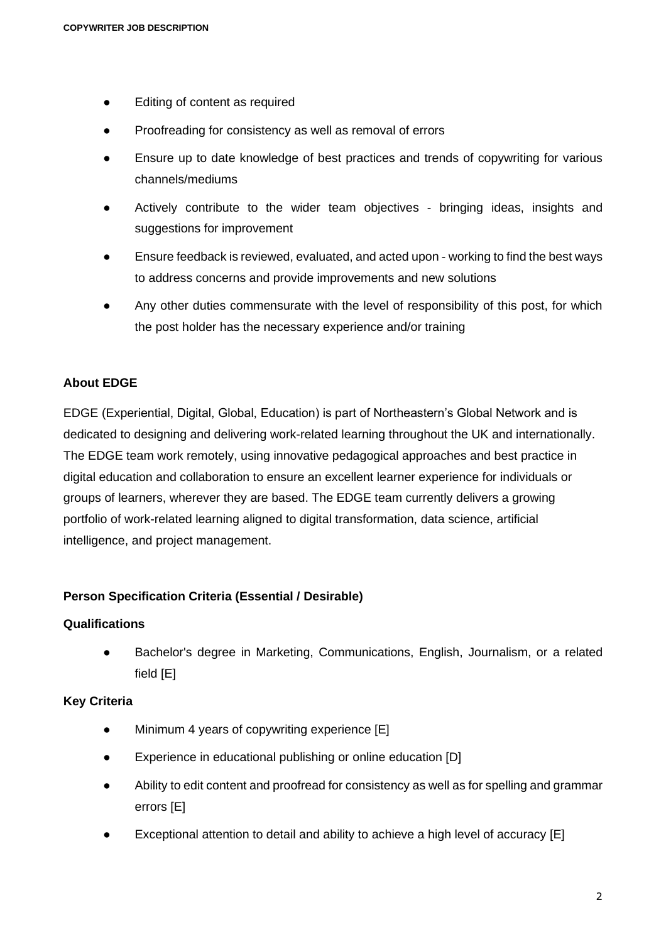- Editing of content as required
- Proofreading for consistency as well as removal of errors
- Ensure up to date knowledge of best practices and trends of copywriting for various channels/mediums
- Actively contribute to the wider team objectives bringing ideas, insights and suggestions for improvement
- Ensure feedback is reviewed, evaluated, and acted upon working to find the best ways to address concerns and provide improvements and new solutions
- Any other duties commensurate with the level of responsibility of this post, for which the post holder has the necessary experience and/or training

#### **About EDGE**

EDGE (Experiential, Digital, Global, Education) is part of Northeastern's Global Network and is dedicated to designing and delivering work-related learning throughout the UK and internationally. The EDGE team work remotely, using innovative pedagogical approaches and best practice in digital education and collaboration to ensure an excellent learner experience for individuals or groups of learners, wherever they are based. The EDGE team currently delivers a growing portfolio of work-related learning aligned to digital transformation, data science, artificial intelligence, and project management.

#### **Person Specification Criteria (Essential / Desirable)**

#### **Qualifications**

● Bachelor's degree in Marketing, Communications, English, Journalism, or a related field [E]

#### **Key Criteria**

- Minimum 4 years of copywriting experience [E]
- Experience in educational publishing or online education [D]
- Ability to edit content and proofread for consistency as well as for spelling and grammar errors [E]
- Exceptional attention to detail and ability to achieve a high level of accuracy [E]